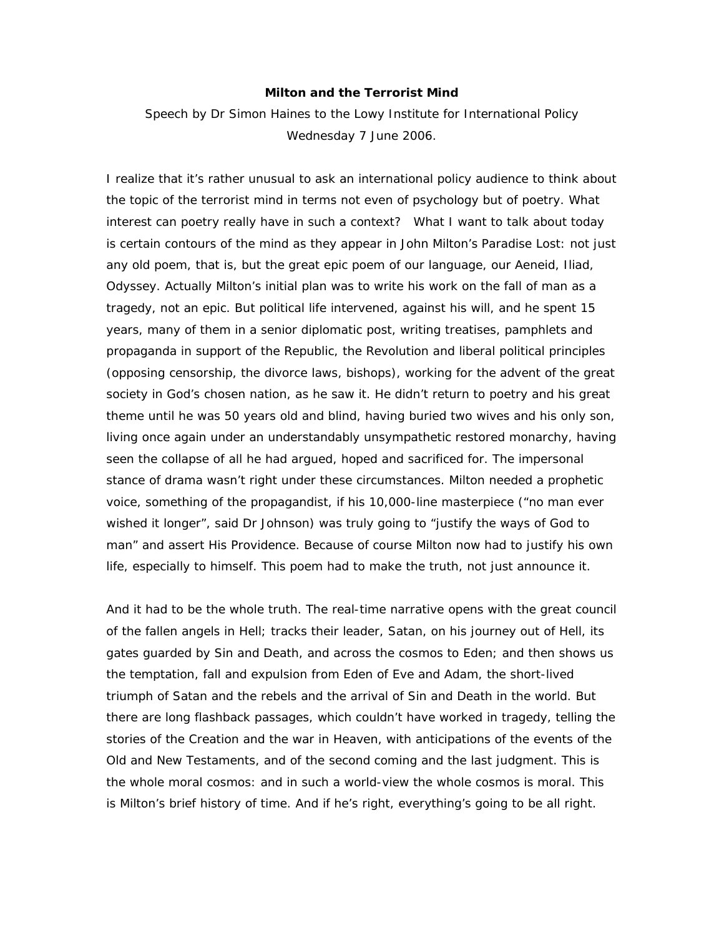## **Milton and the Terrorist Mind**

Speech by Dr Simon Haines to the Lowy Institute for International Policy Wednesday 7 June 2006.

I realize that it's rather unusual to ask an international policy audience to think about the topic of the terrorist mind in terms not even of psychology but of poetry. What interest can poetry really have in such a context? What I want to talk about today is certain contours of the mind as they appear in John Milton's *Paradise Lost*: not just any old poem, that is, but the great epic poem of our language, our *Aeneid*, *Iliad*, *Odyssey*. Actually Milton's initial plan was to write his work on the fall of man as a tragedy, not an epic. But political life intervened, against his will, and he spent 15 years, many of them in a senior diplomatic post, writing treatises, pamphlets and propaganda in support of the Republic, the Revolution and liberal political principles (opposing censorship, the divorce laws, bishops), working for the advent of the great society in God's chosen nation, as he saw it. He didn't return to poetry and his great theme until he was 50 years old and blind, having buried two wives and his only son, living once again under an understandably unsympathetic restored monarchy, having seen the collapse of all he had argued, hoped and sacrificed for. The impersonal stance of drama wasn't right under these circumstances. Milton needed a prophetic voice, something of the propagandist, if his 10,000-line masterpiece ("no man ever wished it longer", said Dr Johnson) was truly going to "justify the ways of God to man" and assert His Providence. Because of course Milton now had to justify his own life, especially to himself. This poem had to make the truth, not just announce it.

And it had to be the whole truth. The real-time narrative opens with the great council of the fallen angels in Hell; tracks their leader, Satan, on his journey out of Hell, its gates guarded by Sin and Death, and across the cosmos to Eden; and then shows us the temptation, fall and expulsion from Eden of Eve and Adam, the short-lived triumph of Satan and the rebels and the arrival of Sin and Death in the world. But there are long flashback passages, which couldn't have worked in tragedy, telling the stories of the Creation and the war in Heaven, with anticipations of the events of the Old and New Testaments, and of the second coming and the last judgment. This is the whole *moral* cosmos: and in such a world-view the whole cosmos *is* moral. This is Milton's brief history of time. And if *he*'s right, *everything*'s going to be all right.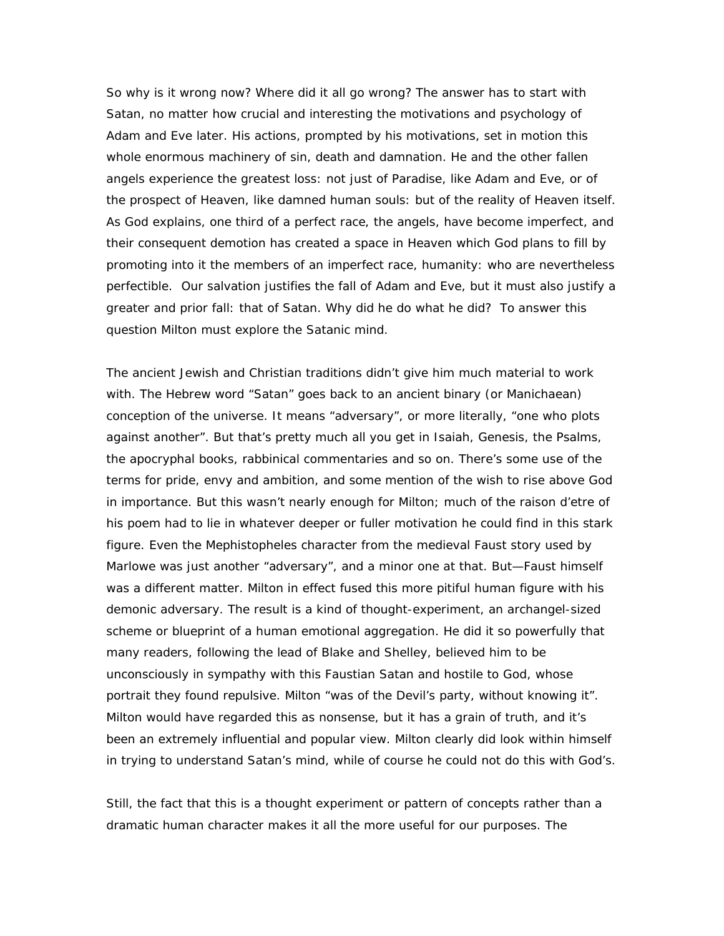So why is it wrong now? Where did it all *go* wrong? The answer has to start with Satan, no matter how crucial and interesting the motivations and psychology of Adam and Eve later. His actions, prompted by his motivations, set in motion this whole enormous machinery of sin, death and damnation. He and the other fallen angels experience the greatest loss: not just of Paradise, like Adam and Eve, or of the prospect of Heaven, like damned human souls: but of the reality of Heaven itself. As God explains, one third of a perfect race, the angels, have become imperfect, and their consequent demotion has created a space in Heaven which God plans to fill by promoting into it the members of an *im*perfect race, humanity: who are nevertheless perfectible. Our salvation justifies the fall of Adam and Eve, but it must also justify a greater and prior fall: that of Satan. Why did he do what he did? To answer this question Milton must explore the Satanic mind.

The ancient Jewish and Christian traditions didn't give him much material to work with. The Hebrew word "Satan" goes back to an ancient binary (or Manichaean) conception of the universe. It means "adversary", or more literally, "one who plots *against* another". But that's pretty much all you get in Isaiah, Genesis, the Psalms, the apocryphal books, rabbinical commentaries and so on. There's some use of the terms for pride, envy and ambition, and some mention of the wish to rise above God in importance. But this wasn't nearly enough for Milton; much of the *raison d'etre* of his poem had to lie in whatever deeper or fuller motivation he could find in this stark figure. Even the Mephistopheles character from the medieval Faust story used by Marlowe was just another "adversary", and a minor one at that. But—Faust himself was a different matter. Milton in effect fused this more pitiful human figure with his demonic adversary. The result is a kind of thought-experiment, an archangel-sized scheme or blueprint of a human emotional aggregation. He did it so powerfully that many readers, following the lead of Blake and Shelley, believed him to be unconsciously in sympathy with this Faustian Satan and hostile to God, whose portrait they found repulsive. Milton "was of the Devil's party, without knowing it". Milton would have regarded this as nonsense, but it has a grain of truth, and it's been an extremely influential and popular view. Milton clearly did look within himself in trying to understand Satan's mind, while of course he could not do this with God's.

Still, the fact that this is a thought experiment or pattern of concepts rather than a dramatic human character makes it all the more useful for our purposes. The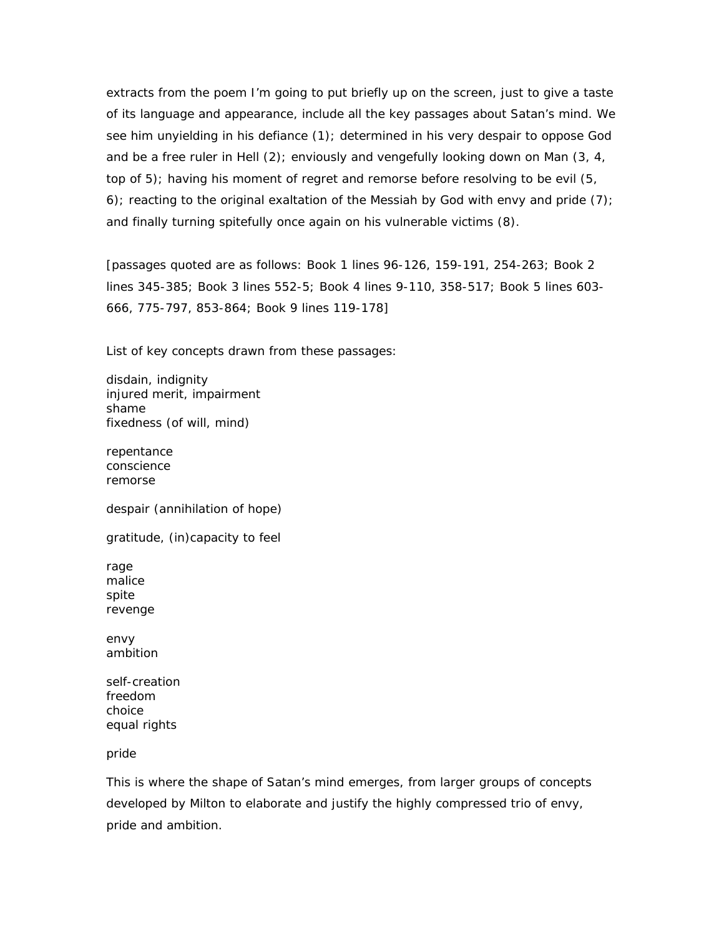extracts from the poem I'm going to put briefly up on the screen, just to give a taste of its language and appearance, include all the key passages about Satan's mind. We see him unyielding in his defiance (1); determined in his very despair to oppose God and be a free ruler in Hell (2); enviously and vengefully looking down on Man (3, 4, top of 5); having his moment of regret and remorse before resolving to be evil (5, 6); reacting to the original exaltation of the Messiah by God with envy and pride (7); and finally turning spitefully once again on his vulnerable victims (8).

[passages quoted are as follows: Book 1 lines 96-126, 159-191, 254-263; Book 2 lines 345-385; Book 3 lines 552-5; Book 4 lines 9-110, 358-517; Book 5 lines 603- 666, 775-797, 853-864; Book 9 lines 119-178]

List of key concepts drawn from these passages:

disdain, indignity injured merit, impairment shame fixedness (of will, mind)

repentance conscience remorse

despair (annihilation of hope)

gratitude, (in)capacity to feel

rage malice spite revenge

envy ambition

self-creation freedom choice equal rights

pride

This is where the shape of Satan's mind emerges, from larger groups of concepts developed by Milton to elaborate and justify the highly compressed trio of envy, pride and ambition.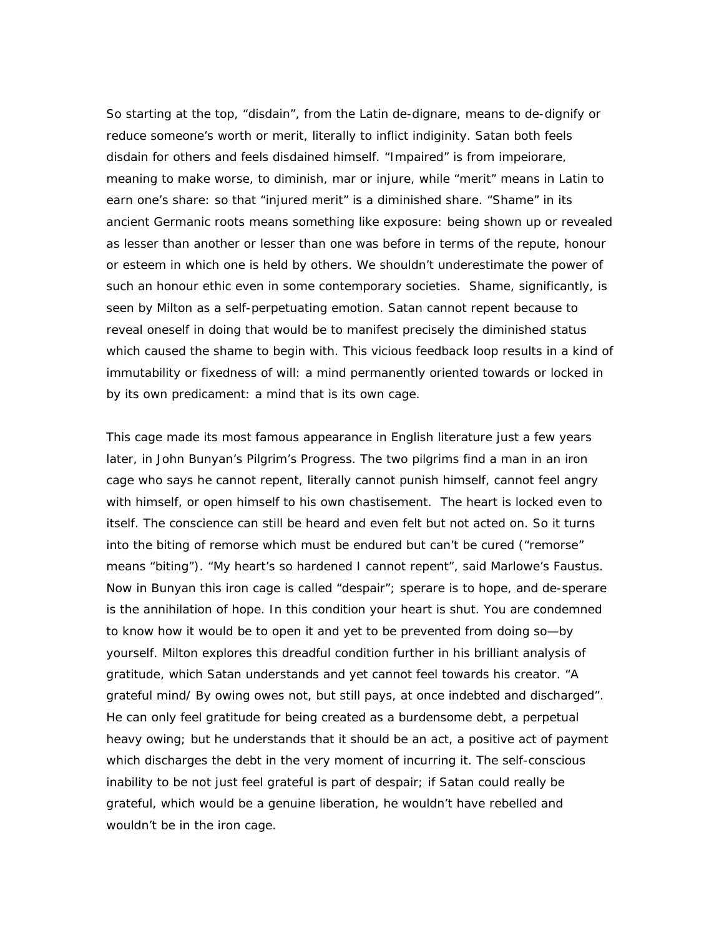So starting at the top, "disdain", from the Latin *de-dignare*, means to de-dignify or reduce someone's worth or merit, literally to inflict *in*diginity. Satan both feels disdain for others and feels disdained himself. "Impaired" is from *impeiorare*, meaning to make worse, to diminish, mar or injure, while "merit" means in Latin to earn one's share: so that "injured merit" is a diminished share. "Shame" in its ancient Germanic roots means something like exposure: being shown up or revealed as lesser than another or lesser than one was before in terms of the repute, honour or esteem in which one is held by others. We shouldn't underestimate the power of such an honour ethic even in some contemporary societies. Shame, significantly, is seen by Milton as a self-perpetuating emotion. Satan cannot repent because to reveal oneself in doing that would be to manifest precisely the diminished status which caused the shame to begin with. This vicious feedback loop results in a kind of immutability or fixedness of will: a mind permanently oriented towards or locked in by its own predicament: a mind that is its own cage.

This cage made its most famous appearance in English literature just a few years later, in John Bunyan's *Pilgrim's Progress*. The two pilgrims find a man in an iron cage who says he cannot *repent*, literally cannot punish himself, cannot feel angry with himself, or open himself to his own chastisement. The heart is locked even to itself. The conscience can still be heard and even felt but not acted on. So it turns into the biting of remorse which must be endured but can't be cured ("remorse" *means* "biting"). "My heart's so hardened I cannot repent", said Marlowe's Faustus. Now in Bunyan this iron cage is called "despair"; *sperare* is to hope, and *de-sperare* is the annihilation of hope. In this condition your heart is shut. You are condemned to know how it would be to open it and yet to be prevented from doing so—by yourself. Milton explores this dreadful condition further in his brilliant analysis of gratitude, which Satan understands and yet cannot feel towards his creator. "A grateful mind/ By owing owes not, but still pays, at once indebted and discharged". He can only *feel* gratitude for being created *as* a burdensome debt, a perpetual heavy owing; but he *understands* that it should be an *act*, a positive act of payment which discharges the debt in the very moment of incurring it. The self-conscious inability to *be* not just *feel* grateful is part of despair; if Satan could really *be* grateful, which would be a genuine liberation, he wouldn't have rebelled and wouldn't be in the iron cage.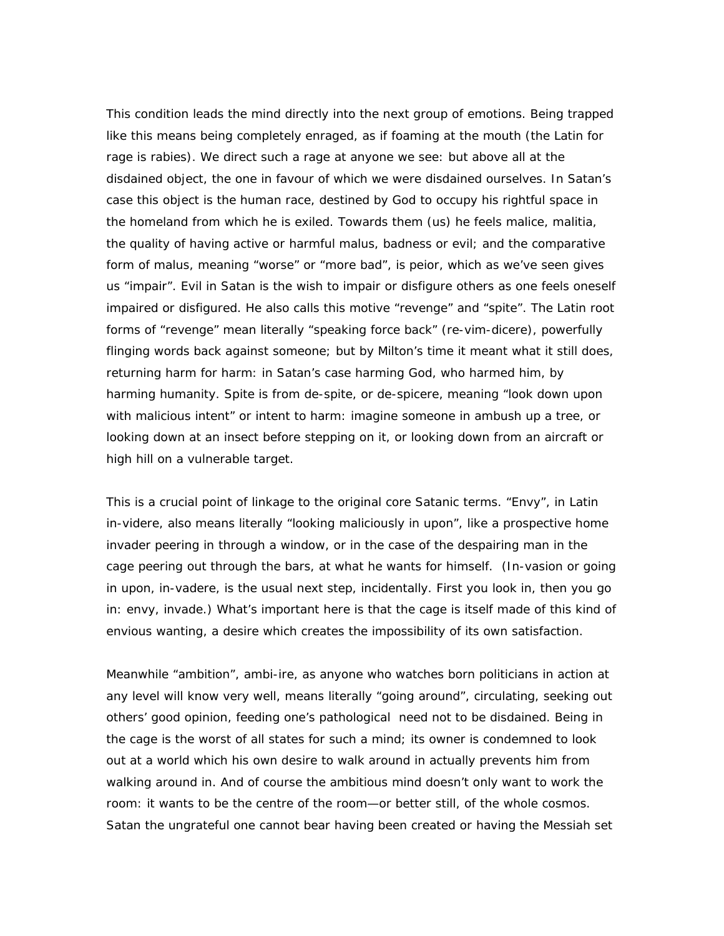This condition leads the mind directly into the next group of emotions. Being trapped like this means being completely enraged, as if foaming at the mouth (the Latin for rage is *rabies*). We direct such a rage at anyone we see: but above all at the disdained object, the one in favour of which we were disdained ourselves. In Satan's case this object is the human race, destined by God to occupy his rightful space in the homeland from which he is exiled. Towards them (us) he feels malice, *malitia*, the quality of having active or harmful *malus*, badness or evil; and the comparative form of *malus*, meaning "worse" or "more bad", is *peior*, which as we've seen gives us "impair". Evil in Satan is the wish to impair or disfigure others as one feels oneself impaired or disfigured. He also calls this motive "revenge" and "spite". The Latin root forms of "revenge" mean literally "speaking force back" (*re-vim-dicere*), powerfully flinging words back against someone; but by Milton's time it meant what it still does, returning harm for harm: in Satan's case harming God, who harmed him, by harming humanity. Spite is from de-spite, or *de-spicere*, meaning "look down upon with malicious intent" or intent to harm: imagine someone in ambush up a tree, or looking down at an insect before stepping on it, or looking down from an aircraft or high hill on a vulnerable target.

This is a crucial point of linkage to the original core Satanic terms. "Envy", in Latin *in-videre*, also means literally "looking maliciously in upon", like a prospective home invader peering in through a window, or in the case of the despairing man in the cage peering out through the bars, at what he wants for himself. (In-vasion or *going*  in upon, *in-vadere*, is the usual next step, incidentally. First you look in, then you go in: envy, invade.) What's important here is that the cage is itself *made* of this kind of envious wanting, a desire which creates the impossibility of its own satisfaction.

Meanwhile "ambition", *ambi-ire*, as anyone who watches born politicians in action at any level will know very well, means literally "going around", circulating, seeking out others' good opinion, feeding one's pathological need not to be disdained. Being in the cage is the worst of all states for such a mind; its owner is condemned to look out at a world which his own desire to walk around in actually prevents him from walking around in. And of course the ambitious mind doesn't only want to *work* the room: it wants to be the *centre* of the room—or better still, of the whole cosmos. Satan the ungrateful one cannot bear having been created or having the Messiah set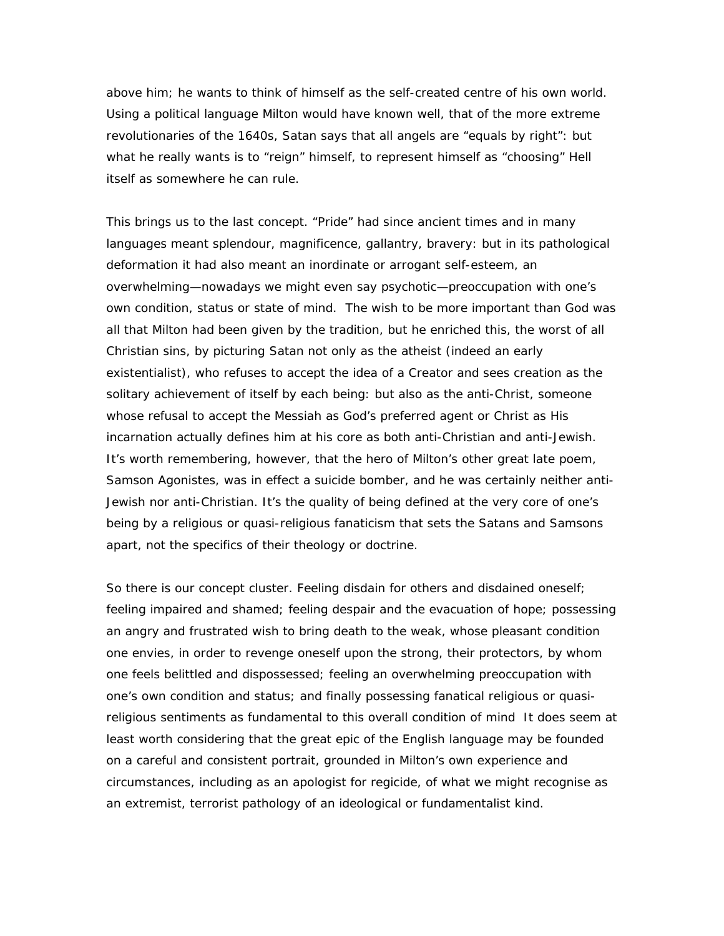above him; he wants to think of himself as the self-created centre of his own world. Using a political language Milton would have known well, that of the more extreme revolutionaries of the 1640s, Satan says that all angels are "equals by right": but what he really wants is to "reign" himself, to represent himself as "choosing" Hell itself as somewhere he can rule.

This brings us to the last concept. "Pride" had since ancient times and in many languages meant splendour, magnificence, gallantry, bravery: but in its pathological deformation it had also meant an inordinate or arrogant self-esteem, an overwhelming—nowadays we might even say psychotic—preoccupation with one's own condition, status or state of mind. The wish to be more important than God was all that Milton had been given by the tradition, but he enriched this, the worst of all Christian sins, by picturing Satan not only as the atheist (indeed an early existentialist), who refuses to accept the idea of a Creator and sees creation as the solitary achievement of itself by each being: but also as the anti-Christ, someone whose refusal to accept the Messiah as God's preferred agent or Christ as His incarnation actually defines him at his core as both anti-Christian and anti-Jewish. It's worth remembering, however, that the hero of Milton's other great late poem, *Samson Agonistes*, was in effect a suicide bomber, and he was certainly neither anti-Jewish nor anti-Christian. It's the quality of being defined at the very core of one's being by a religious or quasi-religious fanaticism that sets the Satans and Samsons apart, not the specifics of their theology or doctrine.

So there is our concept cluster. Feeling disdain for others and disdain*ed* oneself; feeling impaired and shamed; feeling despair and the evacuation of hope; possessing an angry and frustrated wish to bring death to the weak, whose pleasant condition one envies, in order to revenge oneself upon the strong, their protectors, by whom one feels belittled and dispossessed; feeling an overwhelming preoccupation with one's own condition and status; and finally possessing fanatical religious or quasireligious sentiments as fundamental to this overall condition of mind It does seem at least worth considering that the great epic of the English language may be founded on a careful and consistent portrait, grounded in Milton's own experience and circumstances, including as an apologist for regicide, of what we might recognise as an extremist, terrorist pathology of an ideological or fundamentalist kind.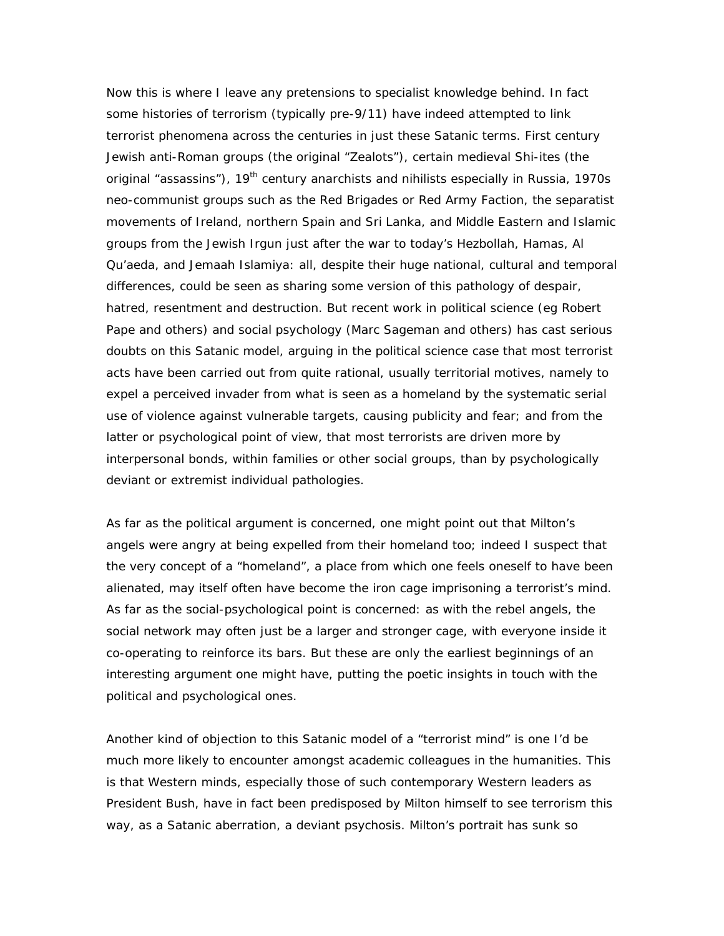Now this is where I leave any pretensions to specialist knowledge behind. In fact some histories of terrorism (typically pre-9/11) have indeed attempted to link terrorist phenomena across the centuries in just these Satanic terms. First century Jewish anti-Roman groups (the original "Zealots"), certain medieval Shi-ites (the original "assassins"),  $19<sup>th</sup>$  century anarchists and nihilists especially in Russia, 1970s neo-communist groups such as the Red Brigades or Red Army Faction, the separatist movements of Ireland, northern Spain and Sri Lanka, and Middle Eastern and Islamic groups from the Jewish Irgun just after the war to today's Hezbollah, Hamas, Al Qu'aeda, and Jemaah Islamiya: all, despite their huge national, cultural and temporal differences, could be seen as sharing some version of this pathology of despair, hatred, resentment and destruction. But recent work in political science (eg Robert Pape and others) and social psychology (Marc Sageman and others) has cast serious doubts on this Satanic model, arguing in the political science case that most terrorist acts have been carried out from quite rational, usually territorial motives, namely to expel a perceived invader from what is seen as a homeland by the systematic serial use of violence against vulnerable targets, causing publicity and fear; and from the latter or psychological point of view, that most terrorists are driven more by interpersonal bonds, within families or other social groups, than by psychologically deviant or extremist individual pathologies.

As far as the political argument is concerned, one might point out that Milton's angels were angry at being expelled from their homeland too; indeed I suspect that the very concept of a "homeland", a place from which one feels oneself to have been alienated, may itself often have become the iron cage imprisoning a terrorist's mind. As far as the social-psychological point is concerned: as with the rebel angels, the social network may often just be a larger and stronger cage, with everyone inside it co-operating to reinforce its bars. But these are only the earliest beginnings of an interesting argument one might have, putting the poetic insights in touch with the political and psychological ones.

Another kind of objection to this Satanic model of a "terrorist mind" is one I'd be much more likely to encounter amongst academic colleagues in the humanities. This is that Western minds, especially those of such contemporary Western leaders as President Bush, have in fact been predisposed by Milton himself to see terrorism this way, as a Satanic aberration, a deviant psychosis. Milton's portrait has sunk so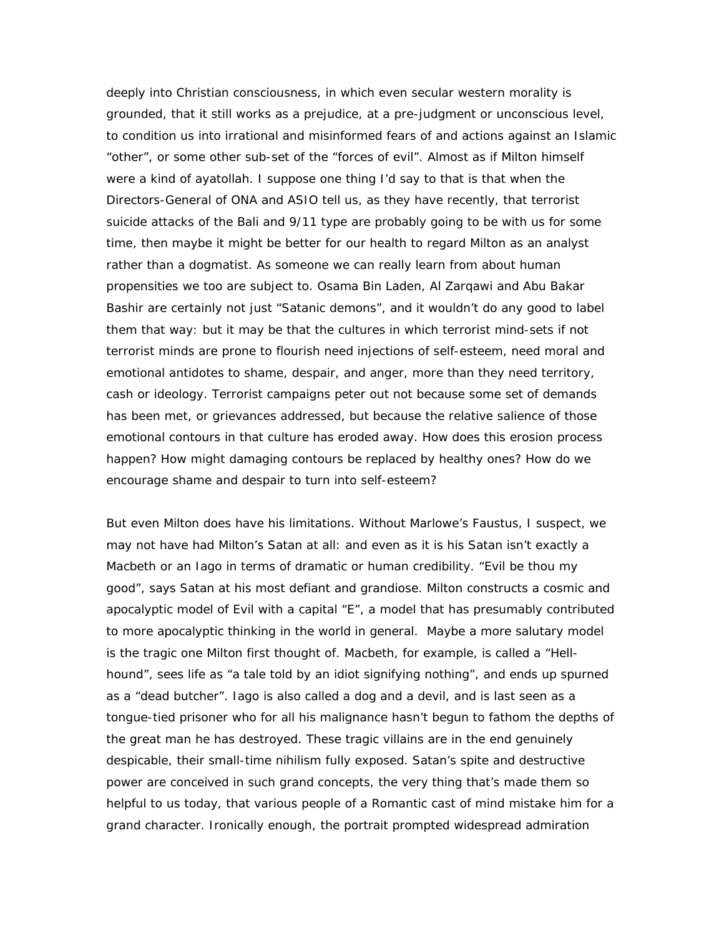deeply into Christian consciousness, in which even secular western morality is grounded, that it still works as a prejudice, at a pre-judgment or unconscious level, to condition us into irrational and misinformed fears of and actions against an Islamic "other", or some other sub-set of the "forces of evil". Almost as if Milton himself were a kind of ayatollah. I suppose one thing I'd say to that is that when the Directors-General of ONA and ASIO tell us, as they have recently, that terrorist suicide attacks of the Bali and 9/11 type are probably going to be with us for some time, then maybe it might be better for our health to regard Milton as an analyst rather than a dogmatist. As someone we can really learn from about human propensities we too are subject to. Osama Bin Laden, Al Zarqawi and Abu Bakar Bashir are certainly not just "Satanic demons", and it wouldn't do any good to label them that way: but it may be that the cultures in which terrorist mind-sets if not terrorist minds are prone to flourish need injections of self-esteem, need moral and emotional antidotes to shame, despair, and anger, more than they need territory, cash or ideology. Terrorist campaigns peter out not because some set of demands has been met, or grievances addressed, but because the relative salience of those emotional contours in that culture has eroded away. How does this erosion process happen? How might damaging contours be replaced by healthy ones? How do we encourage shame and despair to turn into self-esteem?

But even Milton does have his limitations. Without Marlowe's Faustus, I suspect, we may not have had Milton's Satan at all: and even as it is his Satan isn't exactly a Macbeth or an Iago in terms of dramatic or human credibility. "Evil be thou my good", says Satan at his most defiant and grandiose. Milton constructs a cosmic and apocalyptic model of Evil with a capital "E", a model that has presumably contributed to more apocalyptic thinking in the world in general. Maybe a more salutary model is the tragic one Milton first thought of. Macbeth, for example, is called a "Hellhound", sees life as "a tale told by an idiot signifying nothing", and ends up spurned as a "dead butcher". Iago is also called a dog and a devil, and is last seen as a tongue-tied prisoner who for all his malignance hasn't begun to fathom the depths of the great man he has destroyed. These tragic villains are in the end genuinely despicable, their small-time nihilism fully exposed. Satan's spite and destructive power are conceived in such grand *concepts*, the very thing that's made them so helpful to us today, that various people of a Romantic cast of mind mistake him for a grand *character*. Ironically enough, the portrait prompted widespread admiration